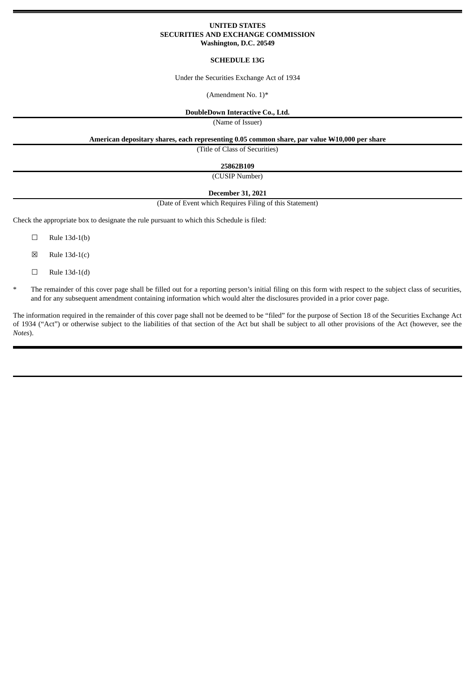# **UNITED STATES SECURITIES AND EXCHANGE COMMISSION Washington, D.C. 20549**

## **SCHEDULE 13G**

Under the Securities Exchange Act of 1934

(Amendment No. 1)\*

# **DoubleDown Interactive Co., Ltd.**

(Name of Issuer)

**American depositary shares, each representing 0.05 common share, par value W10,000 per share**

(Title of Class of Securities)

**25862B109**

(CUSIP Number)

**December 31, 2021**

### (Date of Event which Requires Filing of this Statement)

Check the appropriate box to designate the rule pursuant to which this Schedule is filed:

- $\Box$  Rule 13d-1(b)
- $\boxtimes$  Rule 13d-1(c)
- ☐ Rule 13d-1(d)
- The remainder of this cover page shall be filled out for a reporting person's initial filing on this form with respect to the subject class of securities, and for any subsequent amendment containing information which would alter the disclosures provided in a prior cover page.

The information required in the remainder of this cover page shall not be deemed to be "filed" for the purpose of Section 18 of the Securities Exchange Act of 1934 ("Act") or otherwise subject to the liabilities of that section of the Act but shall be subject to all other provisions of the Act (however, see the *Notes*).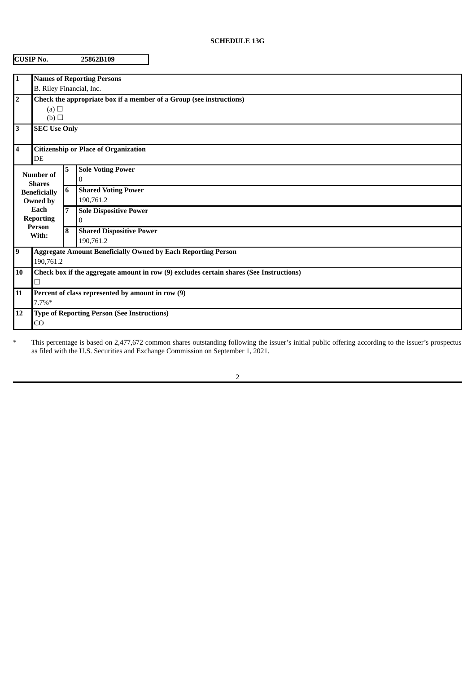# **SCHEDULE 13G**

|                                                | <b>CUSIP No.</b>                                                                             |    | 25862B109                                    |  |  |  |
|------------------------------------------------|----------------------------------------------------------------------------------------------|----|----------------------------------------------|--|--|--|
| 1                                              |                                                                                              |    | <b>Names of Reporting Persons</b>            |  |  |  |
|                                                | B. Riley Financial, Inc.                                                                     |    |                                              |  |  |  |
| $\overline{\mathbf{2}}$                        | Check the appropriate box if a member of a Group (see instructions)                          |    |                                              |  |  |  |
|                                                | (a)<br>(b)                                                                                   |    |                                              |  |  |  |
| $\overline{\mathbf{3}}$<br><b>SEC Use Only</b> |                                                                                              |    |                                              |  |  |  |
| 4                                              | <b>Citizenship or Place of Organization</b><br>DE                                            |    |                                              |  |  |  |
| Number of<br><b>Shares</b>                     |                                                                                              | 5. | <b>Sole Voting Power</b><br>0                |  |  |  |
|                                                | <b>Beneficially</b><br>Owned by<br>Each<br><b>Reporting</b>                                  |    | <b>Shared Voting Power</b><br>190,761.2      |  |  |  |
|                                                |                                                                                              |    | <b>Sole Dispositive Power</b><br>0           |  |  |  |
| <b>Person</b><br>With:                         |                                                                                              | 8  | <b>Shared Dispositive Power</b><br>190,761.2 |  |  |  |
| 9                                              | <b>Aggregate Amount Beneficially Owned by Each Reporting Person</b><br>190,761.2             |    |                                              |  |  |  |
| 10                                             | Check box if the aggregate amount in row (9) excludes certain shares (See Instructions)<br>□ |    |                                              |  |  |  |
| 11                                             | Percent of class represented by amount in row (9)<br>$7.7\%*$                                |    |                                              |  |  |  |
| 12                                             | <b>Type of Reporting Person (See Instructions)</b><br>CO                                     |    |                                              |  |  |  |

\* This percentage is based on 2,477,672 common shares outstanding following the issuer's initial public offering according to the issuer's prospectus as filed with the U.S. Securities and Exchange Commission on September 1, 2021.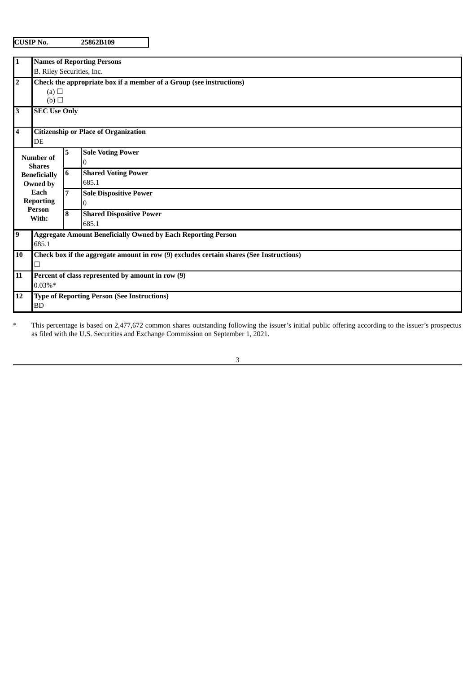| n.<br>. .<br>e |
|----------------|
|----------------|

**CUSIP No. 25862B109**

| $\overline{1}$ | <b>Names of Reporting Persons</b>                                                       |                                                                     |                                 |  |  |  |  |  |
|----------------|-----------------------------------------------------------------------------------------|---------------------------------------------------------------------|---------------------------------|--|--|--|--|--|
|                | B. Riley Securities, Inc.                                                               |                                                                     |                                 |  |  |  |  |  |
| $\overline{2}$ | Check the appropriate box if a member of a Group (see instructions)                     |                                                                     |                                 |  |  |  |  |  |
|                | (a)                                                                                     |                                                                     |                                 |  |  |  |  |  |
|                | (b)                                                                                     |                                                                     |                                 |  |  |  |  |  |
| $\overline{3}$ | <b>SEC Use Only</b>                                                                     |                                                                     |                                 |  |  |  |  |  |
| $\overline{4}$ | <b>Citizenship or Place of Organization</b><br>DE                                       |                                                                     |                                 |  |  |  |  |  |
|                |                                                                                         | 5.                                                                  | <b>Sole Voting Power</b>        |  |  |  |  |  |
|                | <b>Number of</b><br><b>Shares</b><br><b>Beneficially</b>                                |                                                                     | 0                               |  |  |  |  |  |
|                |                                                                                         |                                                                     | <b>Shared Voting Power</b>      |  |  |  |  |  |
|                | Owned by                                                                                |                                                                     | 685.1                           |  |  |  |  |  |
|                | Each                                                                                    | $\overline{7}$                                                      | <b>Sole Dispositive Power</b>   |  |  |  |  |  |
|                | <b>Reporting</b>                                                                        |                                                                     | 0                               |  |  |  |  |  |
|                | Person                                                                                  |                                                                     | <b>Shared Dispositive Power</b> |  |  |  |  |  |
| With:          |                                                                                         |                                                                     | 685.1                           |  |  |  |  |  |
| $\overline{9}$ |                                                                                         | <b>Aggregate Amount Beneficially Owned by Each Reporting Person</b> |                                 |  |  |  |  |  |
|                | 685.1                                                                                   |                                                                     |                                 |  |  |  |  |  |
| <b>10</b>      | Check box if the aggregate amount in row (9) excludes certain shares (See Instructions) |                                                                     |                                 |  |  |  |  |  |
|                |                                                                                         |                                                                     |                                 |  |  |  |  |  |
| 11             | Percent of class represented by amount in row (9)                                       |                                                                     |                                 |  |  |  |  |  |
|                | $0.03\%*$                                                                               |                                                                     |                                 |  |  |  |  |  |
| 12             | <b>Type of Reporting Person (See Instructions)</b>                                      |                                                                     |                                 |  |  |  |  |  |
| <b>BD</b>      |                                                                                         |                                                                     |                                 |  |  |  |  |  |

\* This percentage is based on 2,477,672 common shares outstanding following the issuer's initial public offering according to the issuer's prospectus as filed with the U.S. Securities and Exchange Commission on September 1, 2021.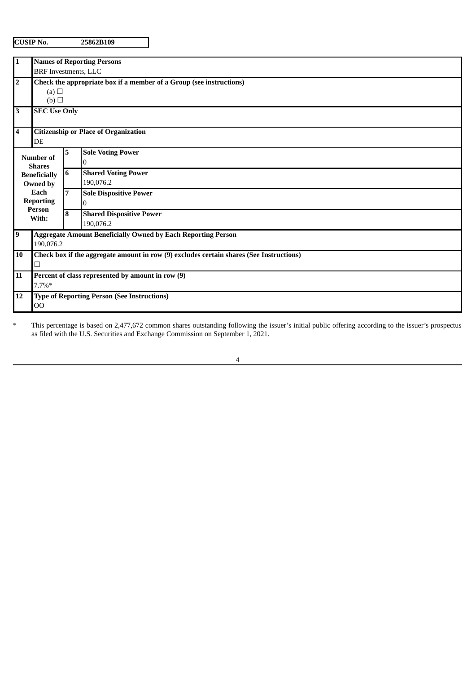**CUSIP No. 25862B109**

| 1                                                                                         | <b>Names of Reporting Persons</b>                                                            |                |                                              |  |  |  |  |
|-------------------------------------------------------------------------------------------|----------------------------------------------------------------------------------------------|----------------|----------------------------------------------|--|--|--|--|
|                                                                                           | <b>BRF</b> Investments, LLC                                                                  |                |                                              |  |  |  |  |
| $\mathbf 2$                                                                               | Check the appropriate box if a member of a Group (see instructions)                          |                |                                              |  |  |  |  |
|                                                                                           | (a) $\Box$                                                                                   |                |                                              |  |  |  |  |
|                                                                                           | (b)                                                                                          |                |                                              |  |  |  |  |
| 3<br><b>SEC Use Only</b>                                                                  |                                                                                              |                |                                              |  |  |  |  |
| 4                                                                                         | <b>Citizenship or Place of Organization</b><br>DE                                            |                |                                              |  |  |  |  |
| Number of<br><b>Shares</b><br><b>Beneficially</b><br>Owned by<br>Each<br><b>Reporting</b> |                                                                                              | 5              | <b>Sole Voting Power</b><br>0                |  |  |  |  |
|                                                                                           |                                                                                              | 6              | <b>Shared Voting Power</b><br>190,076.2      |  |  |  |  |
|                                                                                           |                                                                                              | $\overline{7}$ | <b>Sole Dispositive Power</b><br>0           |  |  |  |  |
|                                                                                           | Person<br>With:                                                                              |                | <b>Shared Dispositive Power</b><br>190,076.2 |  |  |  |  |
| 9                                                                                         | <b>Aggregate Amount Beneficially Owned by Each Reporting Person</b><br>190,076.2             |                |                                              |  |  |  |  |
| 10                                                                                        | Check box if the aggregate amount in row (9) excludes certain shares (See Instructions)<br>□ |                |                                              |  |  |  |  |
| 11                                                                                        | Percent of class represented by amount in row (9)<br>$7.7\%*$                                |                |                                              |  |  |  |  |
| 12                                                                                        | <b>Type of Reporting Person (See Instructions)</b><br>00                                     |                |                                              |  |  |  |  |

\* This percentage is based on 2,477,672 common shares outstanding following the issuer's initial public offering according to the issuer's prospectus as filed with the U.S. Securities and Exchange Commission on September 1, 2021.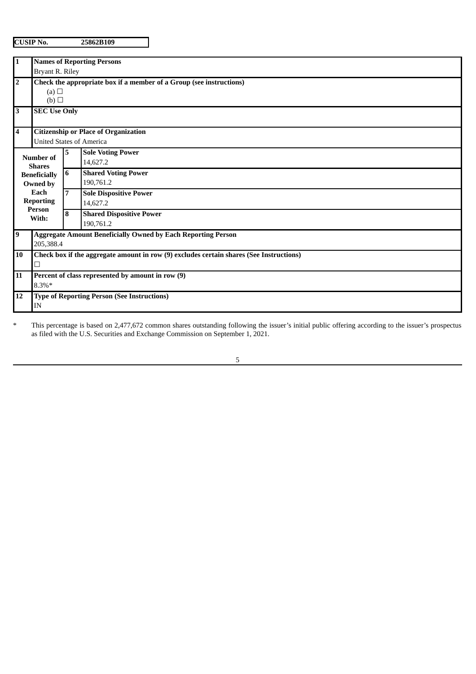**CUSIP No. 25862B109**

| 1                | <b>Names of Reporting Persons</b>                                                       |                                                    |                                                                     |  |  |  |  |
|------------------|-----------------------------------------------------------------------------------------|----------------------------------------------------|---------------------------------------------------------------------|--|--|--|--|
|                  | Bryant R. Riley                                                                         |                                                    |                                                                     |  |  |  |  |
| $\overline{2}$   | Check the appropriate box if a member of a Group (see instructions)                     |                                                    |                                                                     |  |  |  |  |
|                  | (a) $\Box$                                                                              |                                                    |                                                                     |  |  |  |  |
|                  | (b)<br><b>SEC Use Only</b>                                                              |                                                    |                                                                     |  |  |  |  |
| 3                |                                                                                         |                                                    |                                                                     |  |  |  |  |
| $\overline{4}$   |                                                                                         | <b>Citizenship or Place of Organization</b>        |                                                                     |  |  |  |  |
|                  | <b>United States of America</b>                                                         |                                                    |                                                                     |  |  |  |  |
|                  |                                                                                         | 5                                                  | <b>Sole Voting Power</b>                                            |  |  |  |  |
|                  | Number of<br><b>Shares</b>                                                              |                                                    | 14,627.2                                                            |  |  |  |  |
|                  | <b>Beneficially</b>                                                                     | 6                                                  | <b>Shared Voting Power</b>                                          |  |  |  |  |
|                  | Owned by                                                                                |                                                    | 190,761.2                                                           |  |  |  |  |
|                  | Each                                                                                    | $\overline{7}$                                     | <b>Sole Dispositive Power</b>                                       |  |  |  |  |
|                  | <b>Reporting</b><br>Person                                                              |                                                    | 14,627.2                                                            |  |  |  |  |
|                  | With:                                                                                   | 8                                                  | <b>Shared Dispositive Power</b>                                     |  |  |  |  |
|                  |                                                                                         |                                                    | 190,761.2                                                           |  |  |  |  |
| $\boldsymbol{9}$ |                                                                                         |                                                    | <b>Aggregate Amount Beneficially Owned by Each Reporting Person</b> |  |  |  |  |
|                  | 205,388.4                                                                               |                                                    |                                                                     |  |  |  |  |
| 10               | Check box if the aggregate amount in row (9) excludes certain shares (See Instructions) |                                                    |                                                                     |  |  |  |  |
|                  |                                                                                         |                                                    |                                                                     |  |  |  |  |
| 11               | Percent of class represented by amount in row (9)                                       |                                                    |                                                                     |  |  |  |  |
|                  | 8.3%*                                                                                   |                                                    |                                                                     |  |  |  |  |
| 12               |                                                                                         | <b>Type of Reporting Person (See Instructions)</b> |                                                                     |  |  |  |  |
|                  | IN                                                                                      |                                                    |                                                                     |  |  |  |  |

\* This percentage is based on 2,477,672 common shares outstanding following the issuer's initial public offering according to the issuer's prospectus as filed with the U.S. Securities and Exchange Commission on September 1, 2021.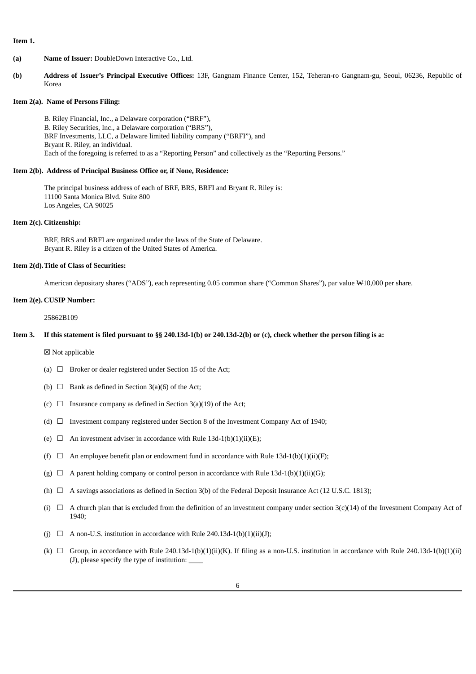### **Item 1.**

- **(a) Name of Issuer:** DoubleDown Interactive Co., Ltd.
- **(b) Address of Issuer's Principal Executive Offices:** 13F, Gangnam Finance Center, 152, Teheran-ro Gangnam-gu, Seoul, 06236, Republic of Korea

#### **Item 2(a). Name of Persons Filing:**

B. Riley Financial, Inc., a Delaware corporation ("BRF"), B. Riley Securities, Inc., a Delaware corporation ("BRS"), BRF Investments, LLC, a Delaware limited liability company ("BRFI"), and Bryant R. Riley, an individual. Each of the foregoing is referred to as a "Reporting Person" and collectively as the "Reporting Persons."

### **Item 2(b). Address of Principal Business Office or, if None, Residence:**

The principal business address of each of BRF, BRS, BRFI and Bryant R. Riley is: 11100 Santa Monica Blvd. Suite 800 Los Angeles, CA 90025

# **Item 2(c). Citizenship:**

BRF, BRS and BRFI are organized under the laws of the State of Delaware. Bryant R. Riley is a citizen of the United States of America.

# **Item 2(d).Title of Class of Securities:**

American depositary shares ("ADS"), each representing 0.05 common share ("Common Shares"), par value W10,000 per share.

### **Item 2(e). CUSIP Number:**

25862B109

# Item 3. If this statement is filed pursuant to §§ 240.13d-1(b) or 240.13d-2(b) or (c), check whether the person filing is a:

☒ Not applicable

- (a)  $\Box$  Broker or dealer registered under Section 15 of the Act;
- (b)  $\Box$  Bank as defined in Section 3(a)(6) of the Act;
- (c)  $\Box$  Insurance company as defined in Section 3(a)(19) of the Act;
- (d)  $\Box$  Investment company registered under Section 8 of the Investment Company Act of 1940;
- (e)  $\Box$  An investment adviser in accordance with Rule 13d-1(b)(1)(ii)(E);
- (f)  $\Box$  An employee benefit plan or endowment fund in accordance with Rule 13d-1(b)(1)(ii)(F);
- (g)  $\Box$  A parent holding company or control person in accordance with Rule 13d-1(b)(1)(ii)(G);
- (h)  $\Box$  A savings associations as defined in Section 3(b) of the Federal Deposit Insurance Act (12 U.S.C. 1813);
- (i)  $\Box$  A church plan that is excluded from the definition of an investment company under section 3(c)(14) of the Investment Company Act of 1940;
- (j)  $\Box$  A non-U.S. institution in accordance with Rule 240.13d-1(b)(1)(ii)(J);
- (k)  $\Box$  Group, in accordance with Rule 240.13d-1(b)(1)(ii)(K). If filing as a non-U.S. institution in accordance with Rule 240.13d-1(b)(1)(ii) (J), please specify the type of institution: \_\_\_\_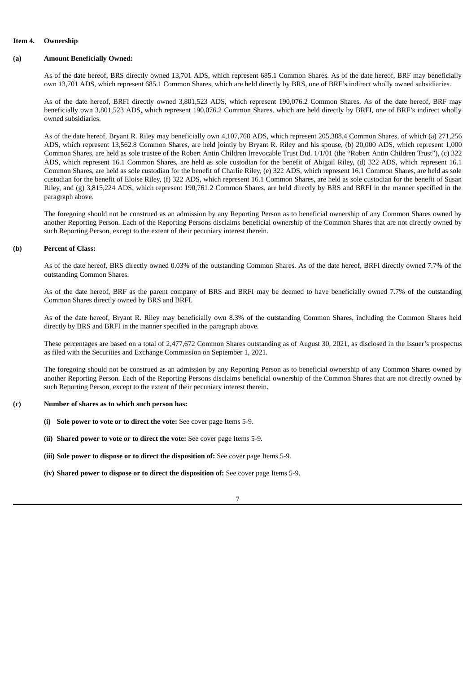### **Item 4. Ownership**

#### **(a) Amount Beneficially Owned:**

As of the date hereof, BRS directly owned 13,701 ADS, which represent 685.1 Common Shares. As of the date hereof, BRF may beneficially own 13,701 ADS, which represent 685.1 Common Shares, which are held directly by BRS, one of BRF's indirect wholly owned subsidiaries.

As of the date hereof, BRFI directly owned 3,801,523 ADS, which represent 190,076.2 Common Shares. As of the date hereof, BRF may beneficially own 3,801,523 ADS, which represent 190,076.2 Common Shares, which are held directly by BRFI, one of BRF's indirect wholly owned subsidiaries.

As of the date hereof, Bryant R. Riley may beneficially own 4,107,768 ADS, which represent 205,388.4 Common Shares, of which (a) 271,256 ADS, which represent 13,562.8 Common Shares, are held jointly by Bryant R. Riley and his spouse, (b) 20,000 ADS, which represent 1,000 Common Shares, are held as sole trustee of the Robert Antin Children Irrevocable Trust Dtd. 1/1/01 (the "Robert Antin Children Trust"), (c) 322 ADS, which represent 16.1 Common Shares, are held as sole custodian for the benefit of Abigail Riley, (d) 322 ADS, which represent 16.1 Common Shares, are held as sole custodian for the benefit of Charlie Riley, (e) 322 ADS, which represent 16.1 Common Shares, are held as sole custodian for the benefit of Eloise Riley, (f) 322 ADS, which represent 16.1 Common Shares, are held as sole custodian for the benefit of Susan Riley, and (g) 3,815,224 ADS, which represent 190,761.2 Common Shares, are held directly by BRS and BRFI in the manner specified in the paragraph above.

The foregoing should not be construed as an admission by any Reporting Person as to beneficial ownership of any Common Shares owned by another Reporting Person. Each of the Reporting Persons disclaims beneficial ownership of the Common Shares that are not directly owned by such Reporting Person, except to the extent of their pecuniary interest therein.

#### **(b) Percent of Class:**

As of the date hereof, BRS directly owned 0.03% of the outstanding Common Shares. As of the date hereof, BRFI directly owned 7.7% of the outstanding Common Shares.

As of the date hereof, BRF as the parent company of BRS and BRFI may be deemed to have beneficially owned 7.7% of the outstanding Common Shares directly owned by BRS and BRFI.

As of the date hereof, Bryant R. Riley may beneficially own 8.3% of the outstanding Common Shares, including the Common Shares held directly by BRS and BRFI in the manner specified in the paragraph above.

These percentages are based on a total of 2,477,672 Common Shares outstanding as of August 30, 2021, as disclosed in the Issuer's prospectus as filed with the Securities and Exchange Commission on September 1, 2021.

The foregoing should not be construed as an admission by any Reporting Person as to beneficial ownership of any Common Shares owned by another Reporting Person. Each of the Reporting Persons disclaims beneficial ownership of the Common Shares that are not directly owned by such Reporting Person, except to the extent of their pecuniary interest therein.

#### **(c) Number of shares as to which such person has:**

- **(i) Sole power to vote or to direct the vote:** See cover page Items 5-9.
- **(ii) Shared power to vote or to direct the vote:** See cover page Items 5-9.
- **(iii) Sole power to dispose or to direct the disposition of:** See cover page Items 5-9.
- **(iv) Shared power to dispose or to direct the disposition of:** See cover page Items 5-9.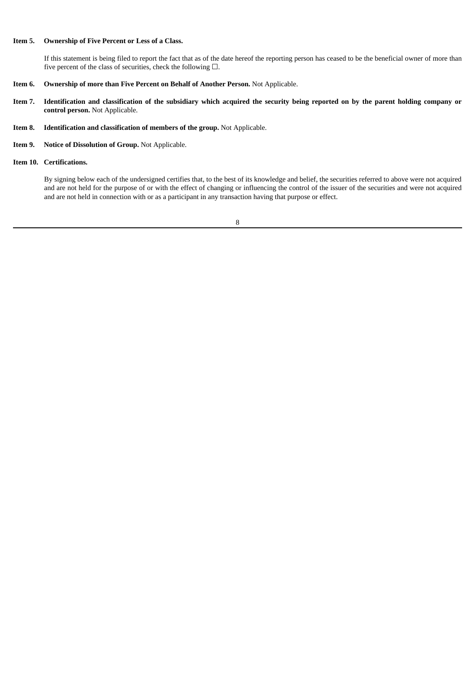# **Item 5. Ownership of Five Percent or Less of a Class.**

If this statement is being filed to report the fact that as of the date hereof the reporting person has ceased to be the beneficial owner of more than five percent of the class of securities, check the following  $\Box$ .

- **Item 6. Ownership of more than Five Percent on Behalf of Another Person.** Not Applicable.
- Item 7. Identification and classification of the subsidiary which acquired the security being reported on by the parent holding company or **control person.** Not Applicable.
- **Item 8. Identification and classification of members of the group.** Not Applicable.
- **Item 9. Notice of Dissolution of Group.** Not Applicable.
- **Item 10. Certifications.**

By signing below each of the undersigned certifies that, to the best of its knowledge and belief, the securities referred to above were not acquired and are not held for the purpose of or with the effect of changing or influencing the control of the issuer of the securities and were not acquired and are not held in connection with or as a participant in any transaction having that purpose or effect.